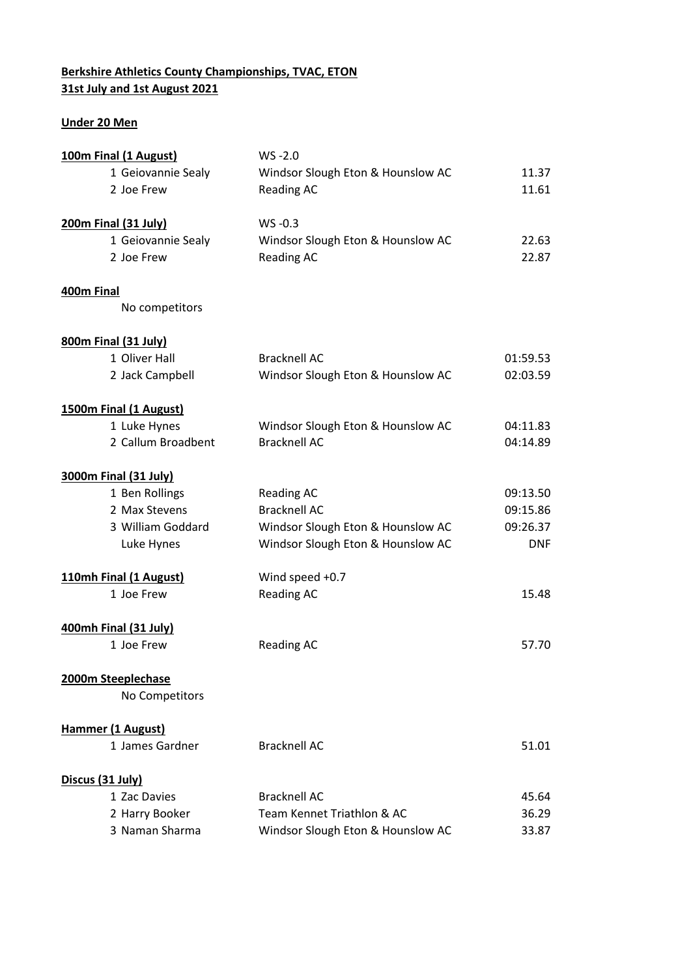## **Berkshire Athletics County Championships, TVAC, ETON 31st July and 1st August 2021**

## **Under 20 Men**

| 100m Final (1 August)       | $WS - 2.0$                        |            |
|-----------------------------|-----------------------------------|------------|
| 1 Geiovannie Sealy          | Windsor Slough Eton & Hounslow AC | 11.37      |
| 2 Joe Frew                  | <b>Reading AC</b>                 | 11.61      |
|                             |                                   |            |
| <b>200m Final (31 July)</b> | WS-0.3                            |            |
| 1 Geiovannie Sealy          | Windsor Slough Eton & Hounslow AC | 22.63      |
| 2 Joe Frew                  | <b>Reading AC</b>                 | 22.87      |
| 400m Final                  |                                   |            |
| No competitors              |                                   |            |
| <b>800m Final (31 July)</b> |                                   |            |
| 1 Oliver Hall               | <b>Bracknell AC</b>               | 01:59.53   |
| 2 Jack Campbell             | Windsor Slough Eton & Hounslow AC | 02:03.59   |
| 1500m Final (1 August)      |                                   |            |
| 1 Luke Hynes                | Windsor Slough Eton & Hounslow AC | 04:11.83   |
| 2 Callum Broadbent          | <b>Bracknell AC</b>               | 04:14.89   |
| 3000m Final (31 July)       |                                   |            |
| 1 Ben Rollings              | <b>Reading AC</b>                 | 09:13.50   |
| 2 Max Stevens               | <b>Bracknell AC</b>               | 09:15.86   |
| 3 William Goddard           | Windsor Slough Eton & Hounslow AC | 09:26.37   |
| Luke Hynes                  | Windsor Slough Eton & Hounslow AC | <b>DNF</b> |
| 110mh Final (1 August)      | Wind speed +0.7                   |            |
| 1 Joe Frew                  | <b>Reading AC</b>                 | 15.48      |
| 400mh Final (31 July)       |                                   |            |
| 1 Joe Frew                  | <b>Reading AC</b>                 | 57.70      |
| 2000m Steeplechase          |                                   |            |
| No Competitors              |                                   |            |
| <b>Hammer (1 August)</b>    |                                   |            |
| 1 James Gardner             | <b>Bracknell AC</b>               | 51.01      |
| Discus (31 July)            |                                   |            |
| 1 Zac Davies                | <b>Bracknell AC</b>               | 45.64      |
| 2 Harry Booker              | Team Kennet Triathlon & AC        | 36.29      |
| 3 Naman Sharma              | Windsor Slough Eton & Hounslow AC | 33.87      |